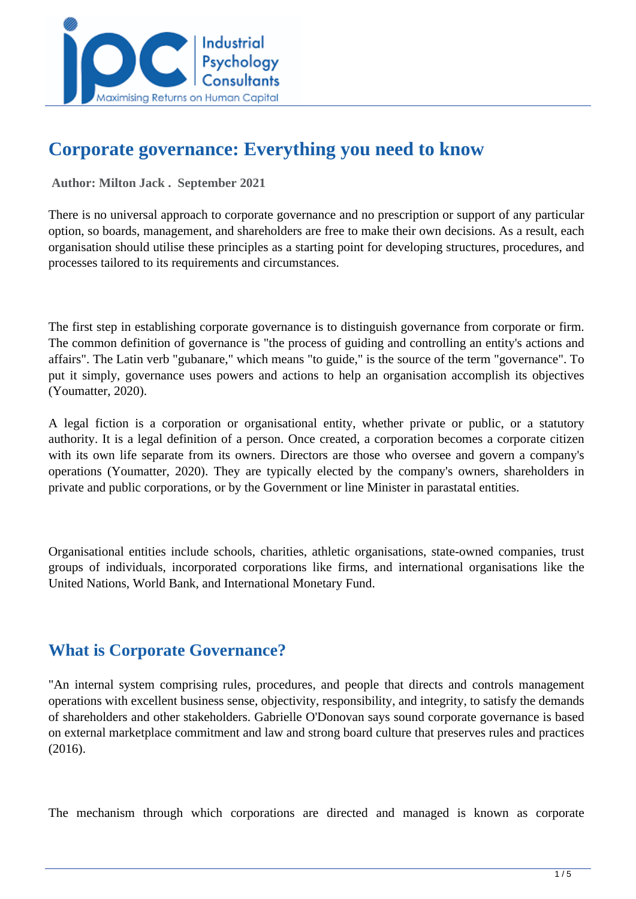

# **Corporate governance: Everything you need to know**

 **Author: Milton Jack . September 2021** 

There is no universal approach to corporate governance and no prescription or support of any particular option, so boards, management, and shareholders are free to make their own decisions. As a result, each organisation should utilise these principles as a starting point for developing structures, procedures, and processes tailored to its requirements and circumstances.

The first step in establishing corporate governance is to distinguish governance from corporate or firm. The common definition of governance is "the process of guiding and controlling an entity's actions and affairs". The Latin verb "gubanare," which means "to guide," is the source of the term "governance". To put it simply, governance uses powers and actions to help an organisation accomplish its objectives (Youmatter, 2020).

A legal fiction is a corporation or organisational entity, whether private or public, or a statutory authority. It is a legal definition of a person. Once created, a corporation becomes a corporate citizen with its own life separate from its owners. Directors are those who oversee and govern a company's operations (Youmatter, 2020). They are typically elected by the company's owners, shareholders in private and public corporations, or by the Government or line Minister in parastatal entities.

Organisational entities include schools, charities, athletic organisations, state-owned companies, trust groups of individuals, incorporated corporations like firms, and international organisations like the United Nations, World Bank, and International Monetary Fund.

### **What is Corporate Governance?**

"An internal system comprising rules, procedures, and people that directs and controls management operations with excellent business sense, objectivity, responsibility, and integrity, to satisfy the demands of shareholders and other stakeholders. Gabrielle O'Donovan says sound corporate governance is based on external marketplace commitment and law and strong board culture that preserves rules and practices (2016).

The mechanism through which corporations are directed and managed is known as corporate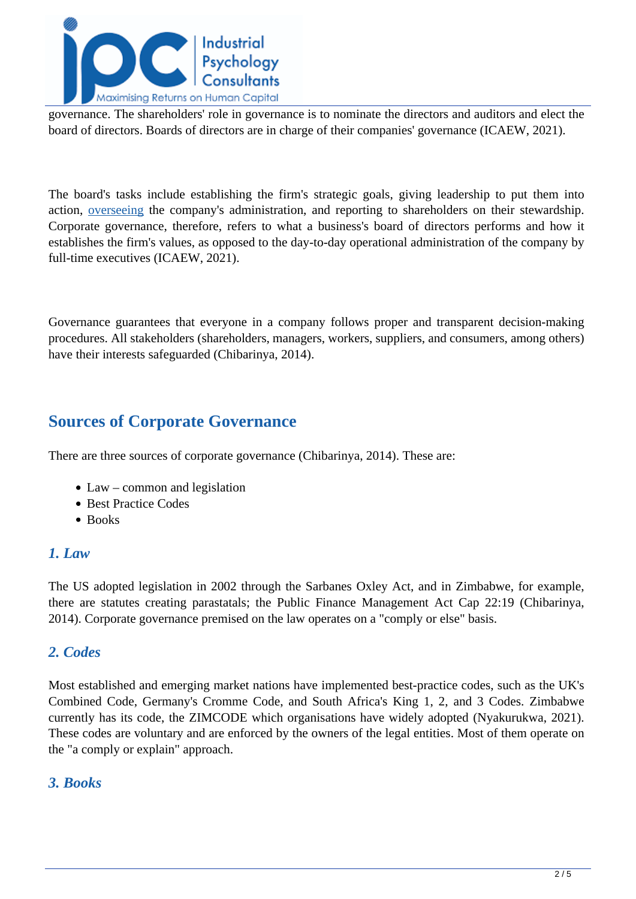

governance. The shareholders' role in governance is to nominate the directors and auditors and elect the board of directors. Boards of directors are in charge of their companies' governance (ICAEW, 2021).

The board's tasks include establishing the firm's strategic goals, giving leadership to put them into action, [overseeing](https://www.icaew.com/technical/corporate-governance/principles/principles-articles/does-corporate-governance-matter) the company's administration, and reporting to shareholders on their stewardship. Corporate governance, therefore, refers to what a business's board of directors performs and how it establishes the firm's values, as opposed to the day-to-day operational administration of the company by full-time executives (ICAEW, 2021).

Governance guarantees that everyone in a company follows proper and transparent decision-making procedures. All stakeholders (shareholders, managers, workers, suppliers, and consumers, among others) have their interests safeguarded (Chibarinya, 2014).

### **Sources of Corporate Governance**

There are three sources of corporate governance (Chibarinya, 2014). These are:

- Law common and legislation
- Best Practice Codes
- Books

#### *1. Law*

The US adopted legislation in 2002 through the Sarbanes Oxley Act, and in Zimbabwe, for example, there are statutes creating parastatals; the Public Finance Management Act Cap 22:19 (Chibarinya, 2014). Corporate governance premised on the law operates on a "comply or else" basis.

#### *2. Codes*

Most established and emerging market nations have implemented best-practice codes, such as the UK's Combined Code, Germany's Cromme Code, and South Africa's King 1, 2, and 3 Codes. Zimbabwe currently has its code, the ZIMCODE which organisations have widely adopted (Nyakurukwa, 2021). These codes are voluntary and are enforced by the owners of the legal entities. Most of them operate on the "a comply or explain" approach.

#### *3. Books*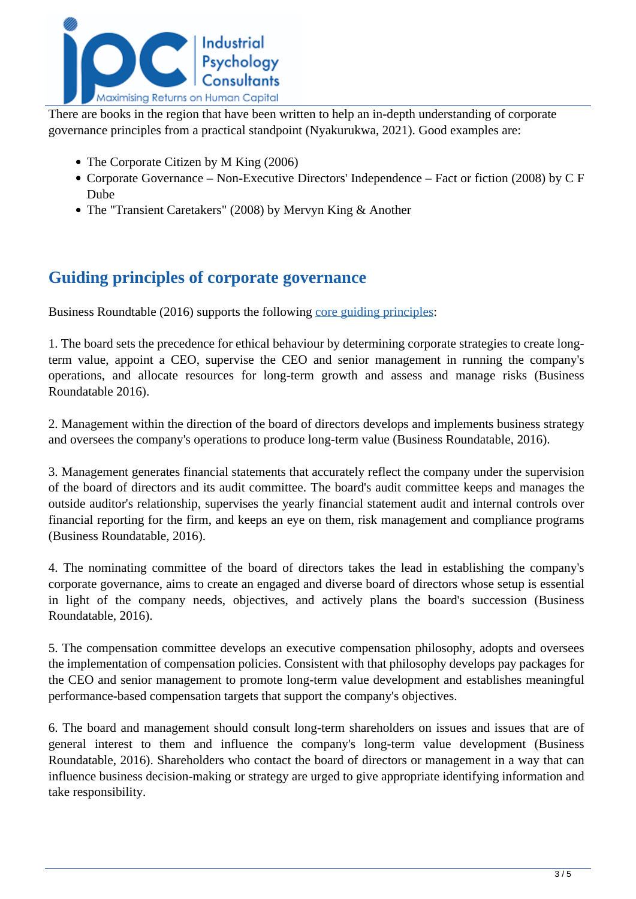

There are books in the region that have been written to help an in-depth understanding of corporate governance principles from a practical standpoint (Nyakurukwa, 2021). Good examples are:

- The Corporate Citizen by M King (2006)
- Corporate Governance Non-Executive Directors' Independence Fact or fiction (2008) by C F Dube
- The "Transient Caretakers" (2008) by Mervyn King & Another

### **Guiding principles of corporate governance**

Business Roundtable (2016) supports the following [core guiding principles](https://corpgov.law.harvard.edu/2016/09/08/principles-of-corporate-governance/):

1. The board sets the precedence for ethical behaviour by determining corporate strategies to create longterm value, appoint a CEO, supervise the CEO and senior management in running the company's operations, and allocate resources for long-term growth and assess and manage risks (Business Roundatable 2016).

2. Management within the direction of the board of directors develops and implements business strategy and oversees the company's operations to produce long-term value (Business Roundatable, 2016).

3. Management generates financial statements that accurately reflect the company under the supervision of the board of directors and its audit committee. The board's audit committee keeps and manages the outside auditor's relationship, supervises the yearly financial statement audit and internal controls over financial reporting for the firm, and keeps an eye on them, risk management and compliance programs (Business Roundatable, 2016).

4. The nominating committee of the board of directors takes the lead in establishing the company's corporate governance, aims to create an engaged and diverse board of directors whose setup is essential in light of the company needs, objectives, and actively plans the board's succession (Business Roundatable, 2016).

5. The compensation committee develops an executive compensation philosophy, adopts and oversees the implementation of compensation policies. Consistent with that philosophy develops pay packages for the CEO and senior management to promote long-term value development and establishes meaningful performance-based compensation targets that support the company's objectives.

6. The board and management should consult long-term shareholders on issues and issues that are of general interest to them and influence the company's long-term value development (Business Roundatable, 2016). Shareholders who contact the board of directors or management in a way that can influence business decision-making or strategy are urged to give appropriate identifying information and take responsibility.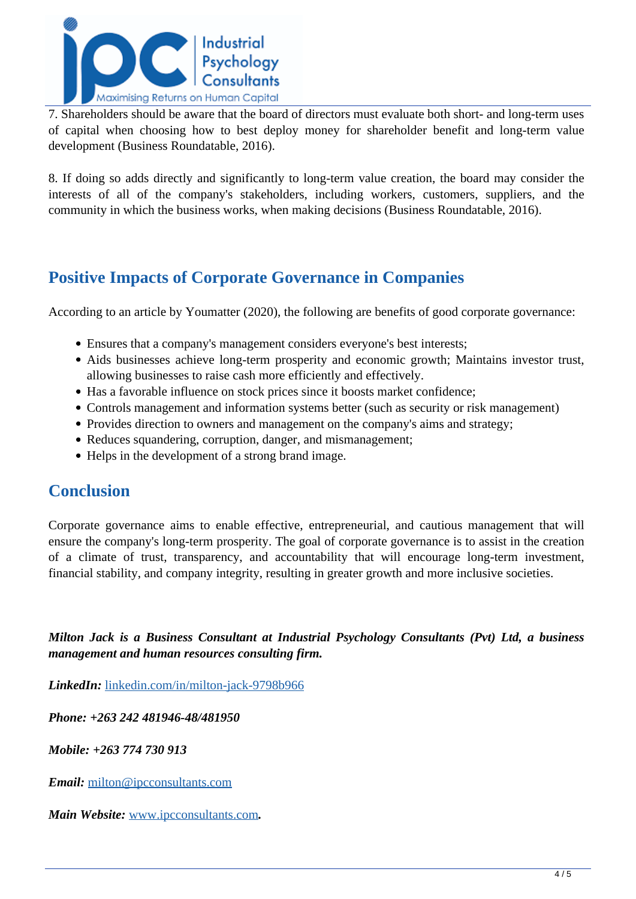

7. Shareholders should be aware that the board of directors must evaluate both short- and long-term uses of capital when choosing how to best deploy money for shareholder benefit and long-term value development (Business Roundatable, 2016).

8. If doing so adds directly and significantly to long-term value creation, the board may consider the interests of all of the company's stakeholders, including workers, customers, suppliers, and the community in which the business works, when making decisions (Business Roundatable, 2016).

## **Positive Impacts of Corporate Governance in Companies**

According to an article by Youmatter (2020), the following are benefits of good corporate governance:

- Ensures that a company's management considers everyone's best interests;
- Aids businesses achieve long-term prosperity and economic growth; Maintains investor trust, allowing businesses to raise cash more efficiently and effectively.
- Has a favorable influence on stock prices since it boosts market confidence;
- Controls management and information systems better (such as security or risk management)
- Provides direction to owners and management on the company's aims and strategy;
- Reduces squandering, corruption, danger, and mismanagement;
- Helps in the development of a strong brand image.

### **Conclusion**

Corporate governance aims to enable effective, entrepreneurial, and cautious management that will ensure the company's long-term prosperity. The goal of corporate governance is to assist in the creation of a climate of trust, transparency, and accountability that will encourage long-term investment, financial stability, and company integrity, resulting in greater growth and more inclusive societies.

*Milton Jack is a Business Consultant at Industrial Psychology Consultants (Pvt) Ltd, a business management and human resources consulting firm.*

*LinkedIn:* [linkedin.com/in/milton-jack-9798b966](https://www.linkedin.com/in/milton-jack-9798b966)

*Phone: +263 242 481946-48/481950*

*Mobile: +263 774 730 913*

*Email:* [milton@ipcconsultants.com](mailto:milton@ipcconsultants.com)

*Main Website:* [www.ipcconsultants.com](http://www.ipcconsultants.com)*.*